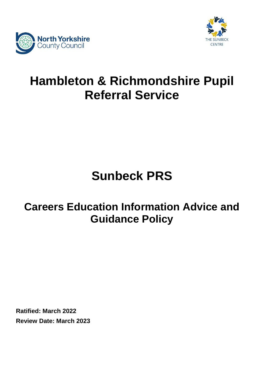



## **Hambleton & Richmondshire Pupil Referral Service**

# **Sunbeck PRS**

### **Careers Education Information Advice and Guidance Policy**

**Ratified: March 2022 Review Date: March 2023**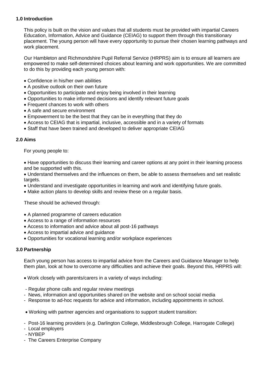#### **1.0 Introduction**

This policy is built on the vision and values that all students must be provided with impartial Careers Education, Information, Advice and Guidance (CEIAG) to support them through this transitionary placement. The young person will have every opportunity to pursue their chosen learning pathways and work placement.

Our Hambleton and Richmondshire Pupil Referral Service (HRPRS) aim is to ensure all learners are empowered to make self-determined choices about learning and work opportunities. We are committed to do this by providing each young person with:

- Confidence in his/her own abilities
- A positive outlook on their own future
- Opportunities to participate and enjoy being involved in their learning
- Opportunities to make informed decisions and identify relevant future goals
- Frequent chances to work with others
- A safe and secure environment
- Empowerment to be the best that they can be in everything that they do
- Access to CEIAG that is impartial, inclusive, accessible and in a variety of formats
- Staff that have been trained and developed to deliver appropriate CEIAG

#### **2.0 Aims**

For young people to:

• Have opportunities to discuss their learning and career options at any point in their learning process and be supported with this.

 Understand themselves and the influences on them, be able to assess themselves and set realistic targets.

- Understand and investigate opportunities in learning and work and identifying future goals.
- Make action plans to develop skills and review these on a regular basis.

These should be achieved through:

- A planned programme of careers education
- Access to a range of information resources
- Access to information and advice about all post-16 pathways
- Access to impartial advice and guidance
- Opportunities for vocational learning and/or workplace experiences

#### **3.0 Partnership**

Each young person has access to impartial advice from the Careers and Guidance Manager to help them plan, look at how to overcome any difficulties and achieve their goals. Beyond this, HRPRS will:

- Work closely with parents/carers in a variety of ways including:
- Regular phone calls and regular review meetings
- News, information and opportunities shared on the website and on school social media
- Response to ad-hoc requests for advice and information, including appointments in school.
- Working with partner agencies and organisations to support student transition:
- Post-16 learning providers (e.g. Darlington College, Middlesbrough College, Harrogate College)
- Local employers
- NYBEP
- The Careers Enterprise Company